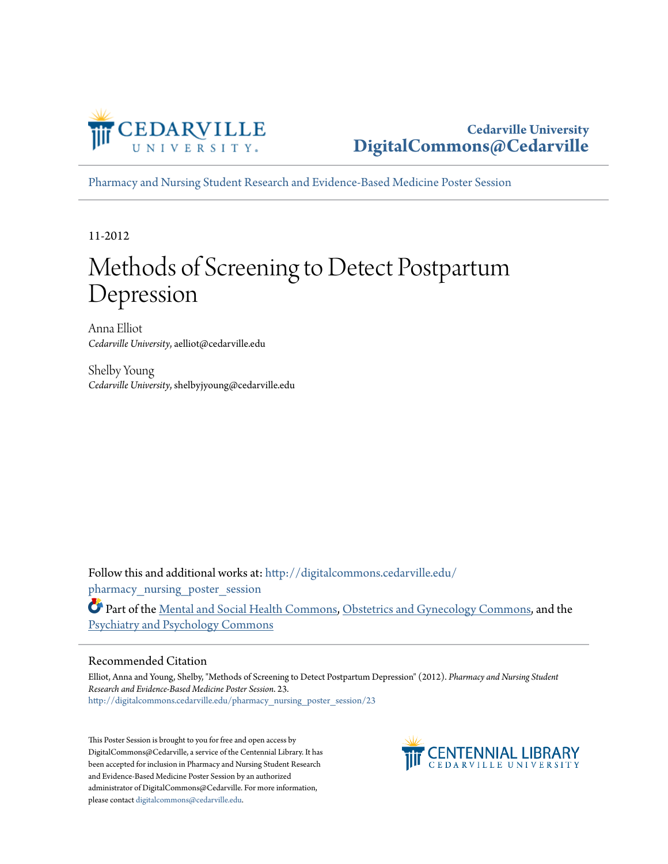

[Pharmacy and Nursing Student Research and Evidence-Based Medicine Poster Session](http://digitalcommons.cedarville.edu/pharmacy_nursing_poster_session?utm_source=digitalcommons.cedarville.edu%2Fpharmacy_nursing_poster_session%2F23&utm_medium=PDF&utm_campaign=PDFCoverPages)

11-2012

#### Methods of Screening to Detect Postpartum Depression

Anna Elliot *Cedarville University*, aelliot@cedarville.edu

Shelby Young *Cedarville University*, shelbyjyoung@cedarville.edu

Follow this and additional works at: [http://digitalcommons.cedarville.edu/](http://digitalcommons.cedarville.edu/pharmacy_nursing_poster_session?utm_source=digitalcommons.cedarville.edu%2Fpharmacy_nursing_poster_session%2F23&utm_medium=PDF&utm_campaign=PDFCoverPages) pharmacy nursing poster session

Part of the [Mental and Social Health Commons](http://network.bepress.com/hgg/discipline/709?utm_source=digitalcommons.cedarville.edu%2Fpharmacy_nursing_poster_session%2F23&utm_medium=PDF&utm_campaign=PDFCoverPages), [Obstetrics and Gynecology Commons,](http://network.bepress.com/hgg/discipline/693?utm_source=digitalcommons.cedarville.edu%2Fpharmacy_nursing_poster_session%2F23&utm_medium=PDF&utm_campaign=PDFCoverPages) and the [Psychiatry and Psychology Commons](http://network.bepress.com/hgg/discipline/908?utm_source=digitalcommons.cedarville.edu%2Fpharmacy_nursing_poster_session%2F23&utm_medium=PDF&utm_campaign=PDFCoverPages)

#### Recommended Citation

Elliot, Anna and Young, Shelby, "Methods of Screening to Detect Postpartum Depression" (2012). *Pharmacy and Nursing Student Research and Evidence-Based Medicine Poster Session*. 23. [http://digitalcommons.cedarville.edu/pharmacy\\_nursing\\_poster\\_session/23](http://digitalcommons.cedarville.edu/pharmacy_nursing_poster_session/23?utm_source=digitalcommons.cedarville.edu%2Fpharmacy_nursing_poster_session%2F23&utm_medium=PDF&utm_campaign=PDFCoverPages)

This Poster Session is brought to you for free and open access by DigitalCommons@Cedarville, a service of the Centennial Library. It has been accepted for inclusion in Pharmacy and Nursing Student Research and Evidence-Based Medicine Poster Session by an authorized administrator of DigitalCommons@Cedarville. For more information, please contact [digitalcommons@cedarville.edu.](mailto:digitalcommons@cedarville.edu)